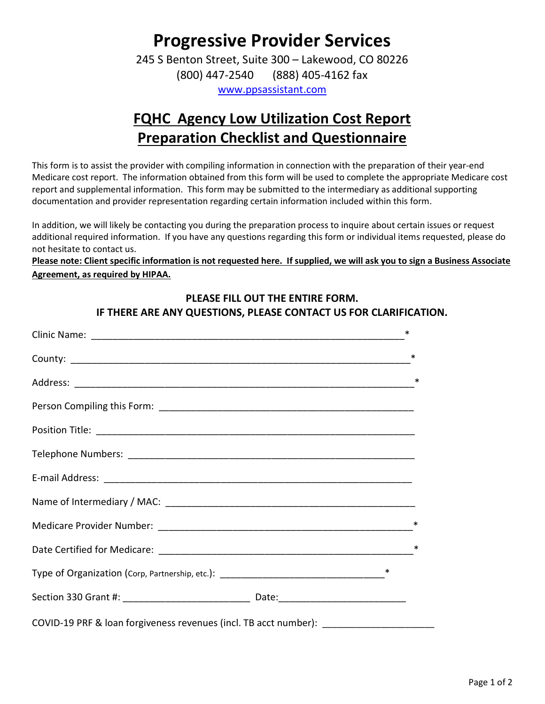# Progressive Provider Services

245 S Benton Street, Suite 300 – Lakewood, CO 80226 (800) 447-2540 (888) 405-4162 fax

www.ppsassistant.com

## FQHC Agency Low Utilization Cost Report Preparation Checklist and Questionnaire

This form is to assist the provider with compiling information in connection with the preparation of their year-end Medicare cost report. The information obtained from this form will be used to complete the appropriate Medicare cost report and supplemental information. This form may be submitted to the intermediary as additional supporting documentation and provider representation regarding certain information included within this form.

In addition, we will likely be contacting you during the preparation process to inquire about certain issues or request additional required information. If you have any questions regarding this form or individual items requested, please do not hesitate to contact us.

Please note: Client specific information is not requested here. If supplied, we will ask you to sign a Business Associate Agreement, as required by HIPAA.

#### PLEASE FILL OUT THE ENTIRE FORM. IF THERE ARE ANY QUESTIONS, PLEASE CONTACT US FOR CLARIFICATION.

|                                                                                   | ∗ |        |
|-----------------------------------------------------------------------------------|---|--------|
|                                                                                   | ∗ |        |
|                                                                                   |   | ∗      |
|                                                                                   |   |        |
|                                                                                   |   |        |
|                                                                                   |   |        |
|                                                                                   |   |        |
|                                                                                   |   |        |
|                                                                                   |   | $\ast$ |
|                                                                                   |   | ∗      |
|                                                                                   |   |        |
|                                                                                   |   |        |
| COVID-19 PRF & loan forgiveness revenues (incl. TB acct number): ________________ |   |        |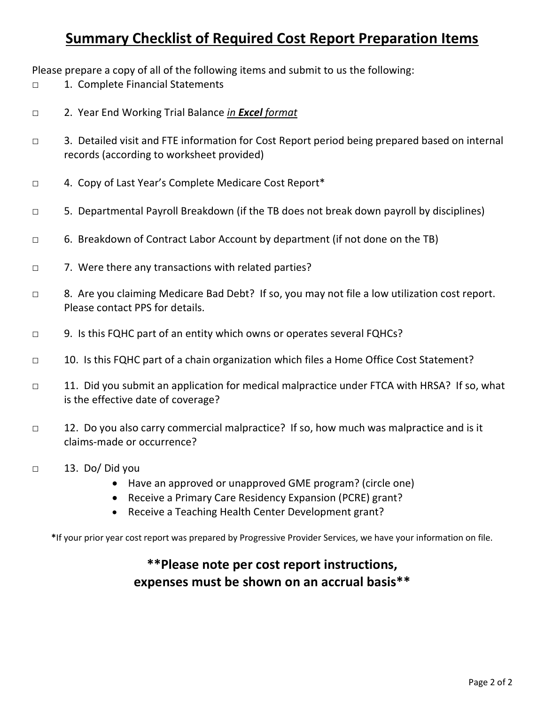## Summary Checklist of Required Cost Report Preparation Items

Please prepare a copy of all of the following items and submit to us the following:

- □ 1. Complete Financial Statements
- □ 2. Year End Working Trial Balance in Excel format
- □ 3. Detailed visit and FTE information for Cost Report period being prepared based on internal records (according to worksheet provided)
- □ 4. Copy of Last Year's Complete Medicare Cost Report\*
- □ 5. Departmental Payroll Breakdown (if the TB does not break down payroll by disciplines)
- □ 6. Breakdown of Contract Labor Account by department (if not done on the TB)
- □ 7. Were there any transactions with related parties?
- □ 8. Are you claiming Medicare Bad Debt? If so, you may not file a low utilization cost report. Please contact PPS for details.
- □ 9. Is this FQHC part of an entity which owns or operates several FQHCs?
- □ 10. Is this FQHC part of a chain organization which files a Home Office Cost Statement?
- □ 11. Did you submit an application for medical malpractice under FTCA with HRSA? If so, what is the effective date of coverage?
- □ 12. Do you also carry commercial malpractice? If so, how much was malpractice and is it claims-made or occurrence?
- □ 13. Do/ Did you
	- Have an approved or unapproved GME program? (circle one)
	- Receive a Primary Care Residency Expansion (PCRE) grant?
	- Receive a Teaching Health Center Development grant?

\*If your prior year cost report was prepared by Progressive Provider Services, we have your information on file.

#### \*\*Please note per cost report instructions, expenses must be shown on an accrual basis\*\*